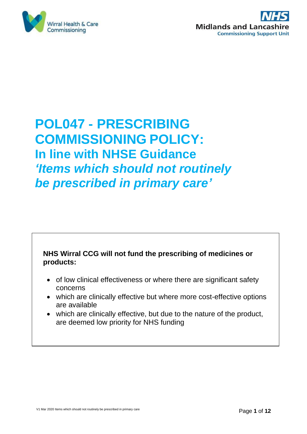



# **POL047 - PRESCRIBING COMMISSIONING POLICY: In line with NHSE Guidance** *'Items which should not routinely be prescribed in primary care'*

### **NHS Wirral CCG will not fund the prescribing of medicines or products:**

- of low clinical effectiveness or where there are significant safety concerns
- which are clinically effective but where more cost-effective options are available
- which are clinically effective, but due to the nature of the product, are deemed low priority for NHS funding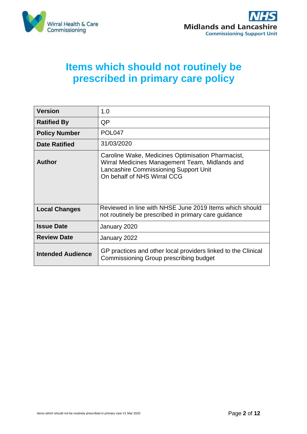



## **Items which should not routinely be prescribed in primary care policy**

| <b>Version</b>           | 1.0                                                                                                                                                                         |
|--------------------------|-----------------------------------------------------------------------------------------------------------------------------------------------------------------------------|
| <b>Ratified By</b>       | QP                                                                                                                                                                          |
| <b>Policy Number</b>     | POL <sub>047</sub>                                                                                                                                                          |
| <b>Date Ratified</b>     | 31/03/2020                                                                                                                                                                  |
| Author                   | Caroline Wake, Medicines Optimisation Pharmacist,<br>Wirral Medicines Management Team, Midlands and<br>Lancashire Commissioning Support Unit<br>On behalf of NHS Wirral CCG |
| <b>Local Changes</b>     | Reviewed in line with NHSE June 2019 Items which should<br>not routinely be prescribed in primary care guidance                                                             |
| <b>Issue Date</b>        | January 2020                                                                                                                                                                |
| <b>Review Date</b>       | January 2022                                                                                                                                                                |
| <b>Intended Audience</b> | GP practices and other local providers linked to the Clinical<br>Commissioning Group prescribing budget                                                                     |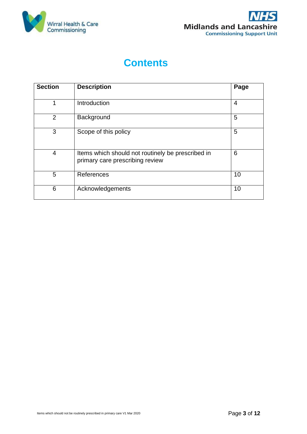



## **Contents**

| <b>Section</b> | <b>Description</b>                                                                   | Page           |
|----------------|--------------------------------------------------------------------------------------|----------------|
| 1              | Introduction                                                                         | $\overline{4}$ |
| $\overline{2}$ | Background                                                                           | 5              |
| 3              | Scope of this policy                                                                 | 5              |
| $\overline{4}$ | Items which should not routinely be prescribed in<br>primary care prescribing review | 6              |
| 5              | References                                                                           | 10             |
| 6              | Acknowledgements                                                                     | 10             |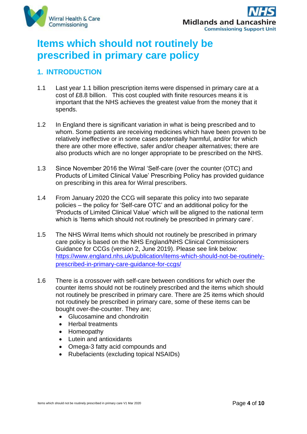



## **Items which should not routinely be prescribed in primary care policy**

## **1. INTRODUCTION**

- 1.1 Last year 1.1 billion prescription items were dispensed in primary care at a cost of £8.8 billion. This cost coupled with finite resources means it is important that the NHS achieves the greatest value from the money that it spends.
- 1.2 In England there is significant variation in what is being prescribed and to whom. Some patients are receiving medicines which have been proven to be relatively ineffective or in some cases potentially harmful, and/or for which there are other more effective, safer and/or cheaper alternatives; there are also products which are no longer appropriate to be prescribed on the NHS.
- 1.3 Since November 2016 the Wirral 'Self-care (over the counter (OTC) and Products of Limited Clinical Value' Prescribing Policy has provided guidance on prescribing in this area for Wirral prescribers.
- 1.4 From January 2020 the CCG will separate this policy into two separate policies – the policy for 'Self-care OTC' and an additional policy for the 'Products of Limited Clinical Value' which will be aligned to the national term which is 'Items which should not routinely be prescribed in primary care'.
- 1.5 The NHS Wirral Items which should not routinely be prescribed in primary care policy is based on the NHS England/NHS Clinical Commissioners Guidance for CCGs (version 2, June 2019). Please see link below: [https://www.england.nhs.uk/publication/items-which-should-not-be-routinely](https://www.england.nhs.uk/publication/items-which-should-not-be-routinely-prescribed-in-primary-care-guidance-for-ccgs/)[prescribed-in-primary-care-guidance-for-ccgs/](https://www.england.nhs.uk/publication/items-which-should-not-be-routinely-prescribed-in-primary-care-guidance-for-ccgs/)
- 1.6 There is a crossover with self-care between conditions for which over the counter items should not be routinely prescribed and the items which should not routinely be prescribed in primary care. There are 25 items which should not routinely be prescribed in primary care, some of these items can be bought over-the-counter. They are;
	- Glucosamine and chondroitin
	- Herbal treatments
	- Homeopathy
	- Lutein and antioxidants
	- Omega-3 fatty acid compounds and
	- Rubefacients (excluding topical NSAIDs)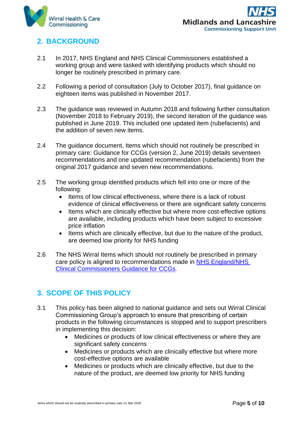

## **2. BACKGROUND**

- 2.1 In 2017, NHS England and NHS Clinical Commissioners established a working group and were tasked with identifying products which should no longer be routinely prescribed in primary care.
- 2.2 Following a period of consultation (July to October 2017), final guidance on eighteen items was published in November 2017.
- 2.3 The guidance was reviewed in Autumn 2018 and following further consultation (November 2018 to February 2019), the second iteration of the guidance was published in June 2019. This included one updated item (rubefacients) and the addition of seven new items.
- 2.4 The guidance document, Items which should not routinely be prescribed in primary care: Guidance for CCGs (version 2, June 2019) details seventeen recommendations and one updated recommendation (rubefacients) from the original 2017 guidance and seven new recommendations.
- 2.5 The working group identified products which fell into one or more of the following:
	- Items of low clinical effectiveness, where there is a lack of robust evidence of clinical effectiveness or there are significant safety concerns
	- Items which are clinically effective but where more cost-effective options are available, including products which have been subject to excessive price inflation
	- Items which are clinically effective, but due to the nature of the product, are deemed low priority for NHS funding
- 2.6 The NHS Wirral Items which should not routinely be prescribed in primary care policy is aligned to recommendations made in [NHS England/NHS](https://www.england.nhs.uk/wp-content/uploads/2019/08/items-which-should-not-routinely-be-prescribed-in-primary-care-v2.1.pdf)  [Clinical Commissioners Guidance for CCGs.](https://www.england.nhs.uk/wp-content/uploads/2019/08/items-which-should-not-routinely-be-prescribed-in-primary-care-v2.1.pdf)

## **3. SCOPE OF THIS POLICY**

- 3.1 This policy has been aligned to national guidance and sets out Wirral Clinical Commissioning Group's approach to ensure that prescribing of certain products in the following circumstances is stopped and to support prescribers in implementing this decision:
	- Medicines or products of low clinical effectiveness or where they are significant safety concerns
	- Medicines or products which are clinically effective but where more cost-effective options are available
	- Medicines or products which are clinically effective, but due to the nature of the product, are deemed low priority for NHS funding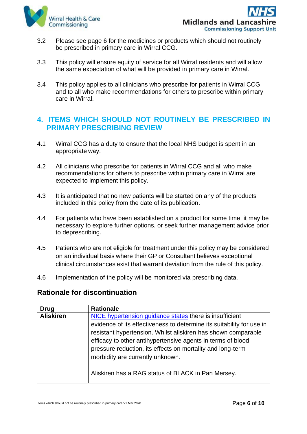

- 3.2 Please see page 6 for the medicines or products which should not routinely be prescribed in primary care in Wirral CCG.
- 3.3 This policy will ensure equity of service for all Wirral residents and will allow the same expectation of what will be provided in primary care in Wirral.
- 3.4 This policy applies to all clinicians who prescribe for patients in Wirral CCG and to all who make recommendations for others to prescribe within primary care in Wirral.

#### **4. ITEMS WHICH SHOULD NOT ROUTINELY BE PRESCRIBED IN PRIMARY PRESCRIBING REVIEW**

- 4.1 Wirral CCG has a duty to ensure that the local NHS budget is spent in an appropriate way.
- 4.2 All clinicians who prescribe for patients in Wirral CCG and all who make recommendations for others to prescribe within primary care in Wirral are expected to implement this policy.
- 4.3 It is anticipated that no new patients will be started on any of the products included in this policy from the date of its publication.
- 4.4 For patients who have been established on a product for some time, it may be necessary to explore further options, or seek further management advice prior to deprescribing.
- 4.5 Patients who are not eligible for treatment under this policy may be considered on an individual basis where their GP or Consultant believes exceptional clinical circumstances exist that warrant deviation from the rule of this policy.
- 4.6 Implementation of the policy will be monitored via prescribing data.

#### **Rationale for discontinuation**

| Drug             | <b>Rationale</b>                                                      |
|------------------|-----------------------------------------------------------------------|
| <b>Aliskiren</b> | NICE hypertension guidance states there is insufficient               |
|                  | evidence of its effectiveness to determine its suitability for use in |
|                  | resistant hypertension. Whilst aliskiren has shown comparable         |
|                  | efficacy to other antihypertensive agents in terms of blood           |
|                  | pressure reduction, its effects on mortality and long-term            |
|                  | morbidity are currently unknown.                                      |
|                  | Aliskiren has a RAG status of BLACK in Pan Mersey.                    |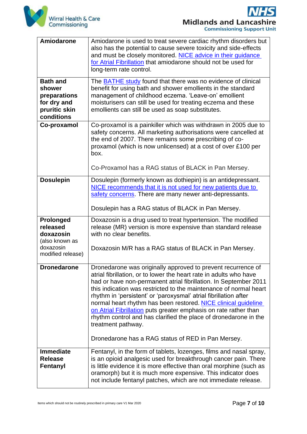

**Midlands and Lancashire Commissioning Support Unit** 

| <b>Amiodarone</b>                                                                       | Amiodarone is used to treat severe cardiac rhythm disorders but<br>also has the potential to cause severe toxicity and side-effects<br>and must be closely monitored. NICE advice in their quidance<br>for Atrial Fibrillation that amiodarone should not be used for<br>long-term rate control.                                                                                                                                                                                                                                                                                |
|-----------------------------------------------------------------------------------------|---------------------------------------------------------------------------------------------------------------------------------------------------------------------------------------------------------------------------------------------------------------------------------------------------------------------------------------------------------------------------------------------------------------------------------------------------------------------------------------------------------------------------------------------------------------------------------|
| <b>Bath and</b><br>shower<br>preparations<br>for dry and<br>pruritic skin<br>conditions | The <b>BATHE</b> study found that there was no evidence of clinical<br>benefit for using bath and shower emollients in the standard<br>management of childhood eczema. 'Leave-on' emollient<br>moisturisers can still be used for treating eczema and these<br>emollients can still be used as soap substitutes.                                                                                                                                                                                                                                                                |
| Co-proxamol                                                                             | Co-proxamol is a painkiller which was withdrawn in 2005 due to<br>safety concerns. All marketing authorisations were cancelled at<br>the end of 2007. There remains some prescribing of co-<br>proxamol (which is now unlicensed) at a cost of over £100 per<br>box.<br>Co-Proxamol has a RAG status of BLACK in Pan Mersey.                                                                                                                                                                                                                                                    |
| <b>Dosulepin</b>                                                                        | Dosulepin (formerly known as dothiepin) is an antidepressant.<br>NICE recommends that it is not used for new patients due to<br>safety concerns. There are many newer anti-depressants.<br>Dosulepin has a RAG status of BLACK in Pan Mersey.                                                                                                                                                                                                                                                                                                                                   |
| Prolonged<br>released<br>doxazosin<br>(also known as<br>doxazosin<br>modified release)  | Doxazosin is a drug used to treat hypertension. The modified<br>release (MR) version is more expensive than standard release<br>with no clear benefits.<br>Doxazosin M/R has a RAG status of BLACK in Pan Mersey.                                                                                                                                                                                                                                                                                                                                                               |
| <b>Dronedarone</b>                                                                      | Dronedarone was originally approved to prevent recurrence of<br>atrial fibrillation, or to lower the heart rate in adults who have<br>had or have non-permanent atrial fibrillation. In September 2011<br>this indication was restricted to the maintenance of normal heart<br>rhythm in 'persistent' or 'paroxysmal' atrial fibrillation after<br>normal heart rhythm has been restored. NICE clinical guideline<br>on Atrial Fibrillation puts greater emphasis on rate rather than<br>rhythm control and has clarified the place of dronedarone in the<br>treatment pathway. |
| <b>Immediate</b>                                                                        | Dronedarone has a RAG status of RED in Pan Mersey.<br>Fentanyl, in the form of tablets, lozenges, films and nasal spray,                                                                                                                                                                                                                                                                                                                                                                                                                                                        |
| <b>Release</b><br>Fentanyl                                                              | is an opioid analgesic used for breakthrough cancer pain. There<br>is little evidence it is more effective than oral morphine (such as<br>oramorph) but it is much more expensive. This indicator does<br>not include fentanyl patches, which are not immediate release.                                                                                                                                                                                                                                                                                                        |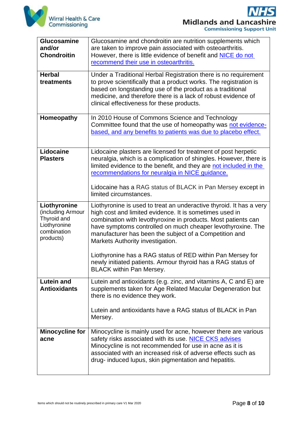

 $\blacktriangleleft$ **Midlands and Lancashire Commissioning Support Unit** 

| Glucosamine<br>and/or<br><b>Chondroitin</b><br><b>Herbal</b>                                 | Glucosamine and chondroitin are nutrition supplements which<br>are taken to improve pain associated with osteoarthritis.<br>However, there is little evidence of benefit and <b>NICE</b> do not<br>recommend their use in osteoarthritis.<br>Under a Traditional Herbal Registration there is no requirement                                                 |
|----------------------------------------------------------------------------------------------|--------------------------------------------------------------------------------------------------------------------------------------------------------------------------------------------------------------------------------------------------------------------------------------------------------------------------------------------------------------|
| treatments                                                                                   | to prove scientifically that a product works. The registration is<br>based on longstanding use of the product as a traditional<br>medicine, and therefore there is a lack of robust evidence of<br>clinical effectiveness for these products.                                                                                                                |
| Homeopathy                                                                                   | In 2010 House of Commons Science and Technology<br>Committee found that the use of homeopathy was not evidence-<br>based, and any benefits to patients was due to placebo effect.                                                                                                                                                                            |
| Lidocaine<br><b>Plasters</b>                                                                 | Lidocaine plasters are licensed for treatment of post herpetic<br>neuralgia, which is a complication of shingles. However, there is<br>limited evidence to the benefit, and they are not included in the<br>recommendations for neuralgia in NICE guidance.<br>Lidocaine has a RAG status of BLACK in Pan Mersey except in<br>limited circumstances.         |
| Liothyronine<br>(including Armour<br>Thyroid and<br>Liothyronine<br>combination<br>products) | Liothyronine is used to treat an underactive thyroid. It has a very<br>high cost and limited evidence. It is sometimes used in<br>combination with levothyroxine in products. Most patients can<br>have symptoms controlled on much cheaper levothyroxine. The<br>manufacturer has been the subject of a Competition and<br>Markets Authority investigation. |
|                                                                                              | Liothyronine has a RAG status of RED within Pan Mersey for<br>newly initiated patients. Armour thyroid has a RAG status of<br><b>BLACK within Pan Mersey.</b>                                                                                                                                                                                                |
| <b>Lutein and</b><br><b>Antioxidants</b>                                                     | Lutein and antioxidants (e.g. zinc, and vitamins A, C and E) are<br>supplements taken for Age Related Macular Degeneration but<br>there is no evidence they work.                                                                                                                                                                                            |
|                                                                                              | Lutein and antioxidants have a RAG status of BLACK in Pan<br>Mersey.                                                                                                                                                                                                                                                                                         |
| <b>Minocycline for</b><br>acne                                                               | Minocycline is mainly used for acne, however there are various<br>safety risks associated with its use. NICE CKS advises<br>Minocycline is not recommended for use in acne as it is<br>associated with an increased risk of adverse effects such as<br>drug- induced lupus, skin pigmentation and hepatitis.                                                 |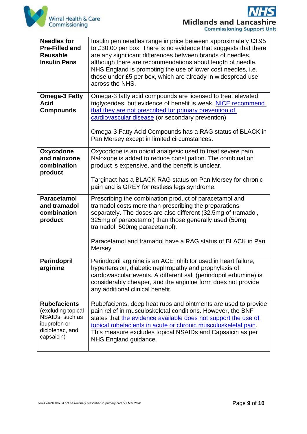

**Midlands and Lancashire Commissioning Support Unit** 

| <b>Needles for</b><br><b>Pre-Filled and</b><br><b>Reusable</b><br><b>Insulin Pens</b>                         | Insulin pen needles range in price between approximately £3.95<br>to £30.00 per box. There is no evidence that suggests that there<br>are any significant differences between brands of needles,<br>although there are recommendations about length of needle.<br>NHS England is promoting the use of lower cost needles, i.e.<br>those under £5 per box, which are already in widespread use<br>across the NHS. |
|---------------------------------------------------------------------------------------------------------------|------------------------------------------------------------------------------------------------------------------------------------------------------------------------------------------------------------------------------------------------------------------------------------------------------------------------------------------------------------------------------------------------------------------|
| <b>Omega-3 Fatty</b><br><b>Acid</b><br><b>Compounds</b>                                                       | Omega-3 fatty acid compounds are licensed to treat elevated<br>triglycerides, but evidence of benefit is weak. NICE recommend<br>that they are not prescribed for primary prevention of<br>cardiovascular disease (or secondary prevention)<br>Omega-3 Fatty Acid Compounds has a RAG status of BLACK in<br>Pan Mersey except in limited circumstances.                                                          |
| Oxycodone<br>and naloxone<br>combination<br>product                                                           | Oxycodone is an opioid analgesic used to treat severe pain.<br>Naloxone is added to reduce constipation. The combination<br>product is expensive, and the benefit is unclear.<br>Targinact has a BLACK RAG status on Pan Mersey for chronic<br>pain and is GREY for restless legs syndrome.                                                                                                                      |
| <b>Paracetamol</b><br>and tramadol<br>combination<br>product                                                  | Prescribing the combination product of paracetamol and<br>tramadol costs more than prescribing the preparations<br>separately. The doses are also different (32.5mg of tramadol,<br>325mg of paracetamol) than those generally used (50mg<br>tramadol, 500mg paracetamol).<br>Paracetamol and tramadol have a RAG status of BLACK in Pan<br>Mersey                                                               |
| Perindopril<br>arginine                                                                                       | Perindopril arginine is an ACE inhibitor used in heart failure,<br>hypertension, diabetic nephropathy and prophylaxis of<br>cardiovascular events. A different salt (perindopril erbumine) is<br>considerably cheaper, and the arginine form does not provide<br>any additional clinical benefit.                                                                                                                |
| <b>Rubefacients</b><br>(excluding topical<br>NSAIDs, such as<br>ibuprofen or<br>diclofenac, and<br>capsaicin) | Rubefacients, deep heat rubs and ointments are used to provide<br>pain relief in musculoskeletal conditions. However, the BNF<br>states that the evidence available does not support the use of<br>topical rubefacients in acute or chronic musculoskeletal pain.<br>This measure excludes topical NSAIDs and Capsaicin as per<br>NHS England guidance.                                                          |